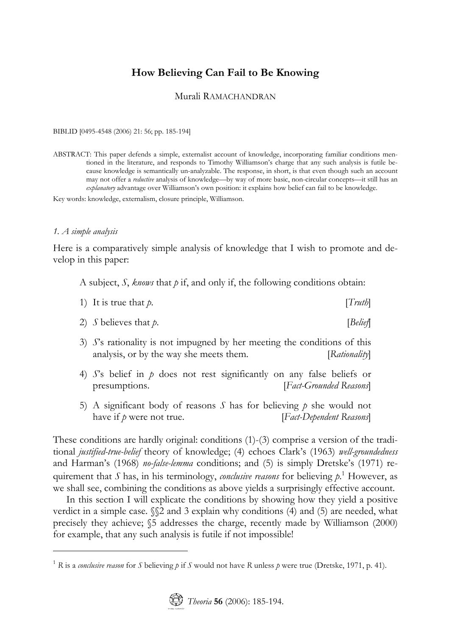# **How Believing Can Fail to Be Knowing**

### Murali RAMACHANDRAN

BIBLID [0495-4548 (2006) 21: 56; pp. 185-194]

ABSTRACT: This paper defends a simple, externalist account of knowledge, incorporating familiar conditions mentioned in the literature, and responds to Timothy Williamson's charge that any such analysis is futile because knowledge is semantically un-analyzable. The response, in short, is that even though such an account may not offer a *reductive* analysis of knowledge—by way of more basic, non-circular concepts—it still has an *explanatory* advantage over Williamson's own position: it explains how belief can fail to be knowledge.

Key words: knowledge, externalism, closure principle, Williamson.

#### *1. A simple analysis*

 $\overline{a}$ 

Here is a comparatively simple analysis of knowledge that I wish to promote and develop in this paper:

A subject, *S*, *knows* that *p* if, and only if, the following conditions obtain:

| 1) It is true that $p$ . | [Truth] |
|--------------------------|---------|
|                          |         |

- 2) *S* believes that *p*. [*Belief*]
- 3) *S*'s rationality is not impugned by her meeting the conditions of this analysis, or by the way she meets them. [*Rationality*]
- 4) *S*'s belief in *p* does not rest significantly on any false beliefs or presumptions. [*Fact-Grounded Reasons*]
- 5) A significant body of reasons *S* has for believing *p* she would not have if *p* were not true. [*Fact-Dependent Reasons*]

These conditions are hardly original: conditions  $(1)-(3)$  comprise a version of the traditional *justified-true-belief* theory of knowledge; (4) echoes Clark's (1963) *well-groundedness* and Harman's (1968) *no-false-lemma* conditions; and (5) is simply Dretske's (1971) requirement that *S* has, in his terminology, *conclusive reasons* for believing *p*. 1 However, as we shall see, combining the conditions as above yields a surprisingly effective account.

In this section I will explicate the conditions by showing how they yield a positive verdict in a simple case.  $\mathcal{S}2$  and 3 explain why conditions (4) and (5) are needed, what precisely they achieve; §5 addresses the charge, recently made by Williamson (2000) for example, that any such analysis is futile if not impossible!

<sup>&</sup>lt;sup>1</sup> R is a *conclusive reason* for *S* believing *p* if *S* would not have *R* unless *p* were true (Dretske, 1971, p. 41).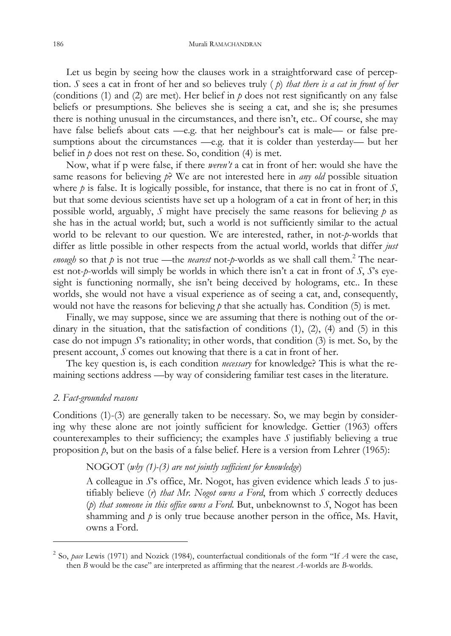Let us begin by seeing how the clauses work in a straightforward case of perception. *S* sees a cat in front of her and so believes truly ( *p*) *that there is a cat in front of her* (conditions (1) and (2) are met). Her belief in *p* does not rest significantly on any false beliefs or presumptions. She believes she is seeing a cat, and she is; she presumes there is nothing unusual in the circumstances, and there isn't, etc.. Of course, she may have false beliefs about cats —e.g. that her neighbour's cat is male— or false presumptions about the circumstances —e.g. that it is colder than yesterday— but her belief in *p* does not rest on these. So, condition (4) is met.

Now, what if p were false, if there *weren't* a cat in front of her: would she have the same reasons for believing *p*? We are not interested here in *any old* possible situation where *p* is false. It is logically possible, for instance, that there is no cat in front of *S*, but that some devious scientists have set up a hologram of a cat in front of her; in this possible world, arguably, *S* might have precisely the same reasons for believing *p* as she has in the actual world; but, such a world is not sufficiently similar to the actual world to be relevant to our question. We are interested, rather, in not-*p*-worlds that differ as little possible in other respects from the actual world, worlds that differ *just enough* so that  $p$  is not true —the *nearest* not- $p$ -worlds as we shall call them.<sup>2</sup> The nearest not-*p*-worlds will simply be worlds in which there isn't a cat in front of *S*, *S*'s eyesight is functioning normally, she isn't being deceived by holograms, etc.. In these worlds, she would not have a visual experience as of seeing a cat, and, consequently, would not have the reasons for believing  $p$  that she actually has. Condition (5) is met.

Finally, we may suppose, since we are assuming that there is nothing out of the ordinary in the situation, that the satisfaction of conditions  $(1)$ ,  $(2)$ ,  $(4)$  and  $(5)$  in this case do not impugn *S*'s rationality; in other words, that condition (3) is met. So, by the present account, *S* comes out knowing that there is a cat in front of her.

The key question is, is each condition *necessary* for knowledge? This is what the remaining sections address —by way of considering familiar test cases in the literature.

### *2. Fact-grounded reasons*

 $\overline{a}$ 

Conditions (1)-(3) are generally taken to be necessary. So, we may begin by considering why these alone are not jointly sufficient for knowledge. Gettier (1963) offers counterexamples to their sufficiency; the examples have  $S$  justifiably believing a true proposition *p*, but on the basis of a false belief. Here is a version from Lehrer (1965):

## NOGOT (*why (1)-(3) are not jointly sufficient for knowledge*)

A colleague in *S*'s office, Mr. Nogot, has given evidence which leads *S* to justifiably believe (*r*) *that Mr. Nogot owns a Ford*, from which *S* correctly deduces (*p*) *that someone in this office owns a Ford*. But, unbeknownst to *S*, Nogot has been shamming and *p* is only true because another person in the office, Ms. Havit, owns a Ford.

<sup>2</sup> So, *pace* Lewis (1971) and Nozick (1984), counterfactual conditionals of the form "If *A* were the case, then *B* would be the case" are interpreted as affirming that the nearest *A*-worlds are *B*-worlds.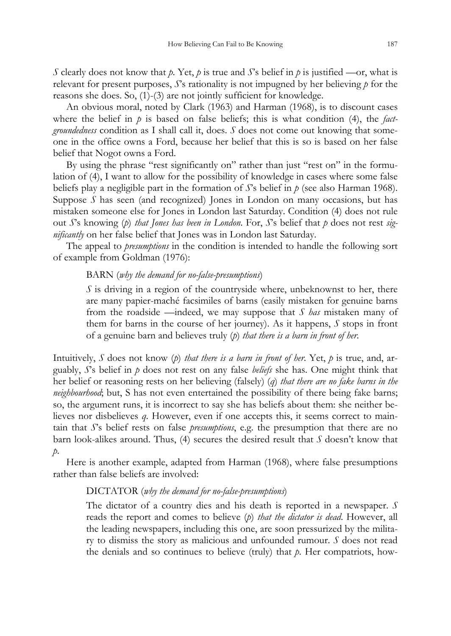*S* clearly does not know that *p*. Yet, *p* is true and *S*'s belief in *p* is justified —or, what is relevant for present purposes, *S*'s rationality is not impugned by her believing *p* for the reasons she does. So, (1)-(3) are not jointly sufficient for knowledge.

An obvious moral, noted by Clark (1963) and Harman (1968), is to discount cases where the belief in *p* is based on false beliefs; this is what condition (4), the *factgroundedness* condition as I shall call it, does. *S* does not come out knowing that someone in the office owns a Ford, because her belief that this is so is based on her false belief that Nogot owns a Ford.

By using the phrase "rest significantly on" rather than just "rest on" in the formulation of (4), I want to allow for the possibility of knowledge in cases where some false beliefs play a negligible part in the formation of *S*'s belief in *p* (see also Harman 1968). Suppose *S* has seen (and recognized) Jones in London on many occasions, but has mistaken someone else for Jones in London last Saturday. Condition (4) does not rule out *S*'s knowing (*p*) *that Jones has been in London*. For, *S*'s belief that *p* does not rest *significantly* on her false belief that Jones was in London last Saturday.

The appeal to *presumptions* in the condition is intended to handle the following sort of example from Goldman (1976):

### BARN (*why the demand for no-false-presumptions*)

*S* is driving in a region of the countryside where, unbeknownst to her, there are many papier-maché facsimiles of barns (easily mistaken for genuine barns from the roadside —indeed, we may suppose that *S has* mistaken many of them for barns in the course of her journey). As it happens, *S* stops in front of a genuine barn and believes truly (*p*) *that there is a barn in front of her*.

Intuitively, *S* does not know (*p*) *that there is a barn in front of her*. Yet, *p* is true, and, arguably, *S*'s belief in *p* does not rest on any false *beliefs* she has. One might think that her belief or reasoning rests on her believing (falsely) (*q*) *that there are no fake barns in the neighbourhood*; but, S has not even entertained the possibility of there being fake barns; so, the argument runs, it is incorrect to say she has beliefs about them: she neither believes nor disbelieves *q*. However, even if one accepts this, it seems correct to maintain that *S*'s belief rests on false *presumptions*, e.g. the presumption that there are no barn look-alikes around. Thus, (4) secures the desired result that *S* doesn't know that *p*.

Here is another example, adapted from Harman (1968), where false presumptions rather than false beliefs are involved:

## DICTATOR (*why the demand for no-false-presumptions*)

The dictator of a country dies and his death is reported in a newspaper. *S* reads the report and comes to believe (*p*) *that the dictator is dead*. However, all the leading newspapers, including this one, are soon pressurized by the military to dismiss the story as malicious and unfounded rumour. *S* does not read the denials and so continues to believe (truly) that *p*. Her compatriots, how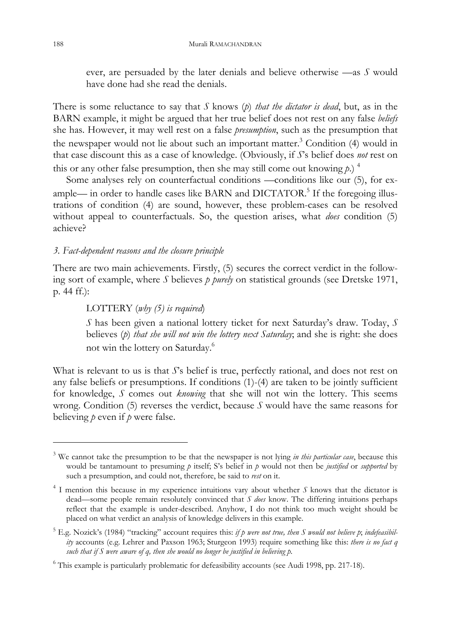ever, are persuaded by the later denials and believe otherwise —as *S* would have done had she read the denials.

There is some reluctance to say that *S* knows (*p*) *that the dictator is dead*, but, as in the BARN example, it might be argued that her true belief does not rest on any false *beliefs* she has. However, it may well rest on a false *presumption*, such as the presumption that the newspaper would not lie about such an important matter.<sup>3</sup> Condition (4) would in that case discount this as a case of knowledge. (Obviously, if *S*'s belief does *not* rest on this or any other false presumption, then she may still come out knowing  $p$ .)<sup>4</sup>

Some analyses rely on counterfactual conditions —conditions like our (5), for example— in order to handle cases like BARN and DICTATOR.<sup>5</sup> If the foregoing illustrations of condition (4) are sound, however, these problem-cases can be resolved without appeal to counterfactuals. So, the question arises, what *does* condition (5) achieve?

## *3. Fact-dependent reasons and the closure principle*

There are two main achievements. Firstly, (5) secures the correct verdict in the following sort of example, where *S* believes *p purely* on statistical grounds (see Dretske 1971, p. 44 ff.):

## LOTTERY (*why (5) is required*)

*S* has been given a national lottery ticket for next Saturday's draw. Today, *S* believes (*p*) *that she will not win the lottery next Saturday*; and she is right: she does not win the lottery on Saturday.6

What is relevant to us is that *S*'s belief is true, perfectly rational, and does not rest on any false beliefs or presumptions. If conditions (1)-(4) are taken to be jointly sufficient for knowledge, *S* comes out *knowing* that she will not win the lottery. This seems wrong. Condition (5) reverses the verdict, because *S* would have the same reasons for believing *p* even if *p* were false.

 $\overline{a}$ 

<sup>&</sup>lt;sup>3</sup> We cannot take the presumption to be that the newspaper is not lying *in this particular case*, because this would be tantamount to presuming *p* itself; S's belief in *p* would not then be *justified* or *supported* by such a presumption, and could not, therefore, be said to *rest* on it.

<sup>4</sup> I mention this because in my experience intuitions vary about whether *S* knows that the dictator is dead—some people remain resolutely convinced that *S does* know. The differing intuitions perhaps reflect that the example is under-described. Anyhow, I do not think too much weight should be placed on what verdict an analysis of knowledge delivers in this example.

<sup>5</sup> E.g. Nozick's (1984) "tracking" account requires this: *if p were not true, then S would not believe p*; *indefeasibility* accounts (e.g. Lehrer and Paxson 1963; Sturgeon 1993) require something like this: *there is no fact q such that if S were aware of q, then she would no longer be justified in believing p*.

<sup>&</sup>lt;sup>6</sup> This example is particularly problematic for defeasibility accounts (see Audi 1998, pp. 217-18).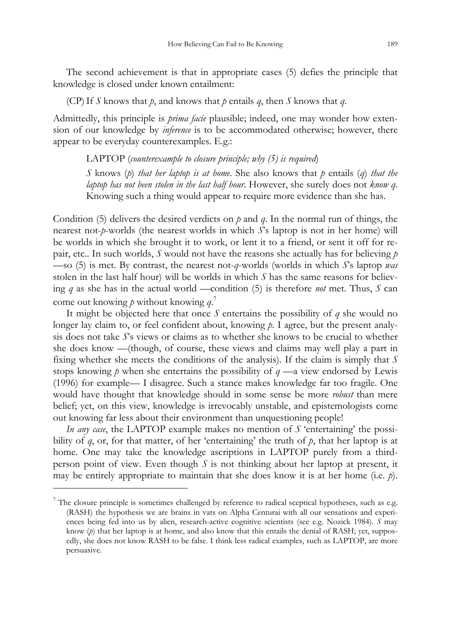The second achievement is that in appropriate cases (5) defies the principle that knowledge is closed under known entailment:

(CP) If *S* knows that *p*, and knows that *p* entails *q*, then *S* knows that *q*.

Admittedly, this principle is *prima facie* plausible; indeed, one may wonder how extension of our knowledge by *inference* is to be accommodated otherwise; however, there appear to be everyday counterexamples. E.g.:

LAPTOP (*counterexample to closure principle; why (5) is required*)

*S* knows (*p*) *that her laptop is at home*. She also knows that *p* entails (*q*) *that the laptop has not been stolen in the last half hour*. However, she surely does not *know q*. Knowing such a thing would appear to require [m](#page-4-0)ore evidence than she has.

Condition (5) delivers the desired verdicts on *p* and *q*. In the normal run of things, the nearest not-*p*-worlds (the nearest worlds in which *S*'s laptop is not in her home) will be worlds in which she brought it to work, or lent it to a friend, or sent it off for repair, etc.. In such worlds, *S* would not have the reasons she actually has for believing *p*  —so (5) is met. By contrast, the nearest not-*q*-worlds (worlds in which *S*'s laptop *was* stolen in the last half hour) will be worlds in which *S* has the same reasons for believing *q* as she has in the actual world —condition (5) is therefore *not* met. Thus, *S* can come out knowing *p* without knowing *q*. 7

It might be objected here that once *S* entertains the possibility of *q* she would no longer lay claim to, or feel confident about, knowing *p*. I agree, but the present analysis does not take *S*'s views or claims as to whether she knows to be crucial to whether she does know —(though, of course, these views and claims may well play a part in fixing whether she meets the conditions of the analysis). If the claim is simply that *S* stops knowing *p* when she entertains the possibility of  $q \rightarrow q$  view endorsed by Lewis (1996) for example— I disagree. Such a stance makes knowledge far too fragile. One would have thought that knowledge should in some sense be more *robust* than mere belief; yet, on this view, knowledge is irrevocably unstable, and epistemologists come out knowing far less about their environment than unquestioning people!

*In any case*, the LAPTOP example makes no mention of *S* 'entertaining' the possibility of *q*, or, for that matter, of her 'entertaining' the truth of *p*, that her laptop is at home. One may take the knowledge ascriptions in LAPTOP purely from a thirdperson point of view. Even though *S* is not thinking about her laptop at present, it may be entirely appropriate to maintain that she does know it is at her home (i.e. *p*).

 $\overline{a}$ 

<span id="page-4-0"></span><sup>&</sup>lt;sup>7</sup> The closure principle is sometimes challenged by reference to radical sceptical hypotheses, such as e.g. (RASH) the hypothesis we are brains in vats on Alpha Centurai with all our sensations and experiences being fed into us by alien, research-active cognitive scientists (see e.g. Nozick 1984). *S* may know (*p*) that her laptop is at home, and also know that this entails the denial of RASH; yet, supposedly, she does not know RASH to be false. I think less radical examples, such as LAPTOP, are more persuasive.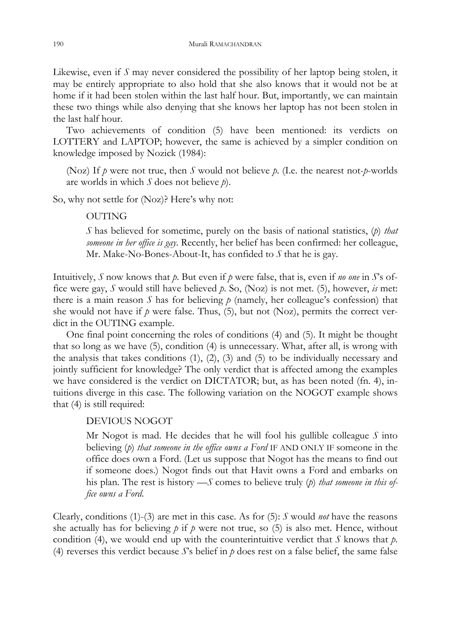Likewise, even if *S* may never considered the possibility of her laptop being stolen, it may be entirely appropriate to also hold that she also knows that it would not be at home if it had been stolen within the last half hour. But, importantly, we can maintain these two things while also denying that she knows her laptop has not been stolen in the last half hour.

Two achievements of condition (5) have been mentioned: its verdicts on LOTTERY and LAPTOP; however, the same is achieved by a simpler condition on knowledge imposed by Nozick (1984):

(Noz) If *p* were not true, then *S* would not believe *p*. (I.e. the nearest not-*p*-worlds are worlds in which *S* does not believe *p*).

So, why not settle for (Noz)? Here's why not:

## OUTING

*S* has believed for sometime, purely on the basis of national statistics, (*p*) *that someone in her office is gay*. Recently, her belief has been confirmed: her colleague, Mr. Make-No-Bones-About-It, has confided to *S* that he is gay.

Intuitively, *S* now knows that *p*. But even if *p* were false, that is, even if *no one* in *S*'s office were gay, *S* would still have believed *p*. So, (Noz) is not met. (5), however, *is* met: there is a main reason  $S$  has for believing  $p$  (namely, her colleague's confession) that she would not have if  $p$  were false. Thus, (5), but not (Noz), permits the correct verdict in the OUTING example.

One final point concerning the roles of conditions (4) and (5). It might be thought that so long as we have (5), condition (4) is unnecessary. What, after all, is wrong with the analysis that takes conditions  $(1)$ ,  $(2)$ ,  $(3)$  and  $(5)$  to be individually necessary and jointly sufficient for knowledge? The only verdict that is affected among the examples we have considered is the verdict on DICTATOR; but, as has been noted (fn. 4), intuitions diverge in this case. The following variation on the NOGOT example shows that (4) is still required:

## DEVIOUS NOGOT

Mr Nogot is mad. He decides that he will fool his gullible colleague *S* into believing (*p*) *that someone in the office owns a Ford* IF AND ONLY IF someone in the office does own a Ford. (Let us suppose that Nogot has the means to find out if someone does.) Nogot finds out that Havit owns a Ford and embarks on his plan. The rest is history —*S* comes to believe truly (*p*) *that someone in this office owns a Ford*.

Clearly, conditions (1)-(3) are met in this case. As for (5): *S* would *not* have the reasons she actually has for believing  $p$  if  $p$  were not true, so (5) is also met. Hence, without condition (4), we would end up with the counterintuitive verdict that *S* knows that *p*. (4) reverses this verdict because  $S$ 's belief in  $p$  does rest on a false belief, the same false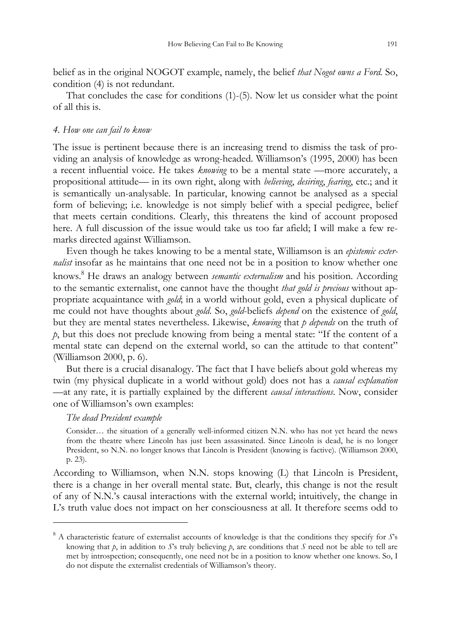belief as in the original NOGOT example, namely, the belief *that Nogot owns a Ford.* So, condition (4) is not redundant.

That concludes the case for conditions (1)-(5). Now let us consider what the point of all this is.

### *4. How one can fail to know*

The issue is pertinent because there is an increasing trend to dismiss the task of providing an analysis of knowledge as wrong-headed. Williamson's (1995, 2000) has been a recent influential vo[ic](#page-6-0)e. He takes *knowing* to be a mental state —more accurately, a propositional attitude— in its own right, along with *believing*, *desiring*, *fearing*, etc.; and it is semantically un-analysable. In particular, knowing cannot be analysed as a special form of believing; i.e. knowledge is not simply belief with a special pedigree, belief that meets certain conditions. Clearly, this threatens the kind of account proposed here. A full discussion of the issue would take us too far afield; I will make a few remarks directed against Williamson.

Even though he takes knowing to be a mental state, Williamson is an *epistemic externalist* insofar as he maintains that one need not be in a position to know whether one knows.8 He draws an analogy between *semantic externalism* and his position. According to the semantic externalist, one cannot have the thought *that gold is precious* without appropriate acquaintance with *gold*; in a world without gold, even a physical duplicate of me could not have thoughts about *gold*. So, *gold*-beliefs *depend* on the existence of *gold*, but they are mental states nevertheless. Likewise, *knowing* that *p depends* on the truth of *p*, but this does not preclude knowing from being a mental state: "If the content of a mental state can depend on the external world, so can the attitude to that content" (Williamson 2000, p. 6).

But there is a crucial disanalogy. The fact that I have beliefs about gold whereas my twin (my physical duplicate in a world without gold) does not has a *causal explanation*  —at any rate, it is partially explained by the different *causal interactions*. Now, consider one of Williamson's own examples:

### *The dead President example*

 $\overline{a}$ 

Consider… the situation of a generally well-informed citizen N.N. who has not yet heard the news from the theatre where Lincoln has just been assassinated. Since Lincoln is dead, he is no longer President, so N.N. no longer knows that Lincoln is President (knowing is factive). (Williamson 2000, p. 23).

According to Williamson, when N.N. stops knowing (L) that Lincoln is President, there is a change in her overall mental state. But, clearly, this change is not the result of any of N.N.'s causal interactions with the external world; intuitively, the change in L's truth value does not impact on her consciousness at all. It therefore seems odd to

<span id="page-6-0"></span><sup>8</sup> A characteristic feature of externalist accounts of knowledge is that the conditions they specify for *S*'s knowing that *p*, in addition to *S*'s truly believing *p*, are conditions that *S* need not be able to tell are met by introspection; consequently, one need not be in a position to know whether one knows. So, I do not dispute the externalist credentials of Williamson's theory.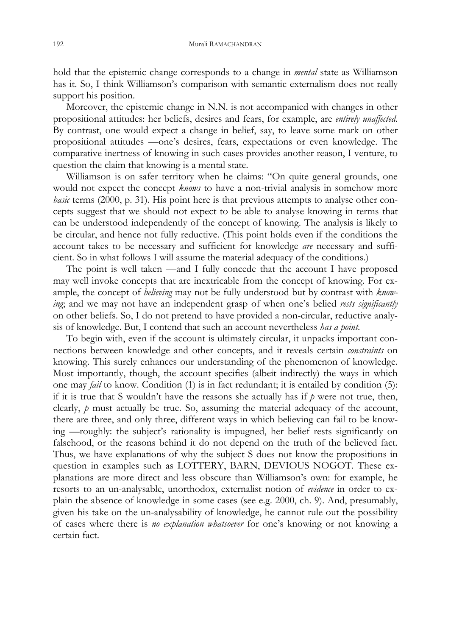hold that the epistemic change corresponds to a change in *mental* state as Williamson has it. So, I think Williamson's comparison with semantic externalism does not really support his position.

Moreover, the epistemic change in N.N. is not accompanied with changes in other propositional attitudes: her beliefs, desires and fears, for example, are *entirely unaffected*. By contrast, one would expect a change in belief, say, to leave some mark on other propositional attitudes —one's desires, fears, expectations or even knowledge. The comparative inertness of knowing in such cases provides another reason, I venture, to question the claim that knowing is a mental state.

Williamson is on safer territory when he claims: "On quite general grounds, one would not expect the concept *knows* to have a non-trivial analysis in somehow more *basic* terms (2000, p. 31). His point here is that previous attempts to analyse other concepts suggest that we should not expect to be able to analyse knowing in terms that can be understood independently of the concept of knowing. The analysis is likely to be circular, and hence not fully reductive. (This point holds even if the conditions the account takes to be necessary and sufficient for knowledge *are* necessary and sufficient. So in what follows I will assume the material adequacy of the conditions.)

The point is well taken —and I fully concede that the account I have proposed may well invoke concepts that are inextricable from the concept of knowing. For example, the concept of *believing* may not be fully understood but by contrast with *knowing*; and we may not have an independent grasp of when one's belied *rests significantly* on other beliefs. So, I do not pretend to have provided a non-circular, reductive analysis of knowledge. But, I contend that such an account nevertheless *has a point*.

To begin with, even if the account is ultimately circular, it unpacks important connections between knowledge and other concepts, and it reveals certain *constraints* on knowing. This surely enhances our understanding of the phenomenon of knowledge. Most importantly, though, the account specifies (albeit indirectly) the ways in which one may *fail* to know. Condition (1) is in fact redundant; it is entailed by condition (5): if it is true that S wouldn't have the reasons she actually has if  $p$  were not true, then, clearly, *p* must actually be true. So, assuming the material adequacy of the account, there are three, and only three, different ways in which believing can fail to be knowing —roughly: the subject's rationality is impugned, her belief rests significantly on falsehood, or the reasons behind it do not depend on the truth of the believed fact. Thus, we have explanations of why the subject S does not know the propositions in question in examples such as LOTTERY, BARN, DEVIOUS NOGOT. These explanations are more direct and less obscure than Williamson's own: for example, he resorts to an un-analysable, unorthodox, externalist notion of *evidence* in order to explain the absence of knowledge in some cases (see e.g. 2000, ch. 9). And, presumably, given his take on the un-analysability of knowledge, he cannot rule out the possibility of cases where there is *no explanation whatsoever* for one's knowing or not knowing a certain fact.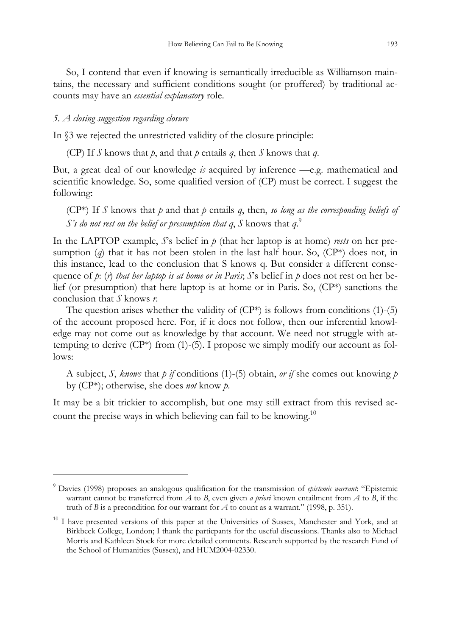So, I contend that even if knowing is semantically irreducible as Williamson maintains, the necessary and sufficient conditions sought (or proffered) by traditional accounts may have an *essential explanatory* role.

### *5. A closing suggestion regarding closure*

 $\overline{a}$ 

In §3 we rejected the unrestricted validity of the closure principle:

(CP) If *S* knows that *p*, and that *p* entails *q*, then *S* knows that *q*.

But, a great deal of our knowledge *is* acquired by inference —e.g. mathematical and scientific knowledge. So, some qualified version of (CP) must be correct. I suggest the following:

( $CP^*$ ) If *S* knows that *p* and that *p* entails *q*, then, *so long as the corresponding beliefs of S's do not rest on the belief or presumption that q*, *S* knows that *q*. 9

In the LAPTOP example, *S*'s belief in *p* (that her laptop is at home) *rests* on her presumption  $(q)$  that it has not been stolen in the last half hour. So,  $(\mathbb{CP}^*)$  does not, in this instance, lead to the conclusion that S knows q. But consider a different consequence of *p*: (*r*) *that her laptop is at home or in Paris*; *S*'s belief in *p* does not rest on her belief (or presumption) that here laptop is at home or in Paris. So, (CP\*) sanctions the conclusion that *S* knows *r*.

The question arises whether the validity of  $(CP^*)$  is follows from conditions [\(1](#page-8-0))-(5) of the account proposed here. For, if it does not follow, then our inferential knowledge may not come out as knowledge by that account. We need not struggle with attempting to derive  $(CP^*)$  from (1)-(5). I propose we simply modify our account as follows:

A subject, *S*, *knows* that *p if* conditions (1)-(5) obtain, *or if* she comes out knowing *p* by (CP\*); otherwise, she does *not* know *p*.

It may be a bit trickier to accomplish, but one may still extract from this revised account the precise ways in which believing can fail to be knowing.<sup>10</sup>

<sup>9</sup> Davies (1998) proposes an analogous qualification for the transmission of *epistemic warrant*: "Epistemic warrant cannot be transferred from *A* to *B*, even given *a priori* known entailment from *A* to *B*, if the truth of *B* is a precondition for our warrant for *A* to count as a warrant." (1998, p. 351).

<span id="page-8-0"></span><sup>&</sup>lt;sup>10</sup> I have presented versions of this paper at the Universities of Sussex, Manchester and York, and at Birkbeck College, London; I thank the particpants for the useful discussions. Thanks also to Michael Morris and Kathleen Stock for more detailed comments. Research supported by the research Fund of the School of Humanities (Sussex), and HUM2004-02330.